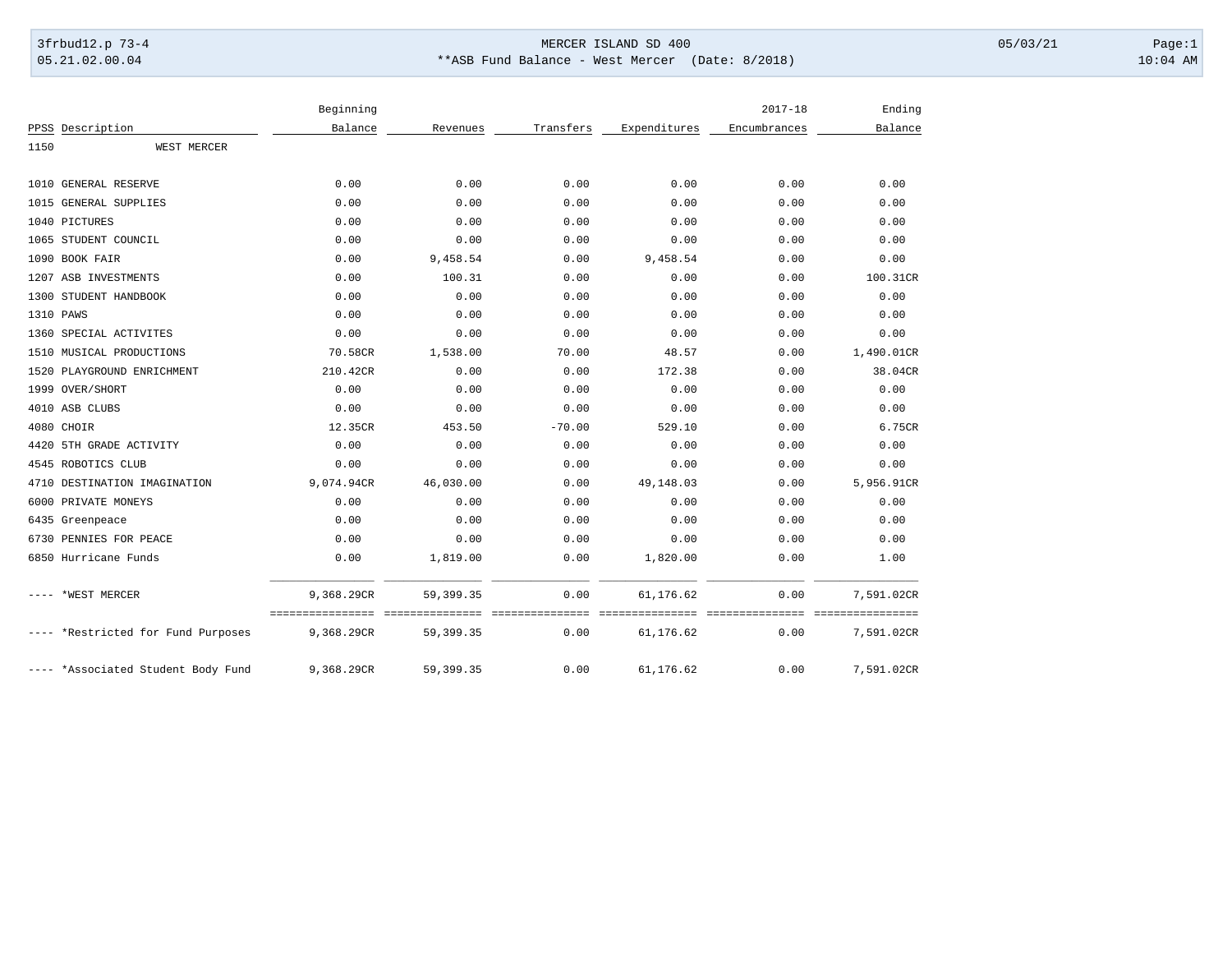## 3frbud12.p 73-4 Page:1 Page:1 05.21.02.00.04 \*\*ASB Fund Balance - West Mercer (Date: 8/2018) 10:04 AM

|      |                                    | Beginning  |             |           |              | $2017 - 18$  | Ending     |
|------|------------------------------------|------------|-------------|-----------|--------------|--------------|------------|
|      | PPSS Description                   | Balance    | Revenues    | Transfers | Expenditures | Encumbrances | Balance    |
| 1150 | WEST MERCER                        |            |             |           |              |              |            |
|      | 1010 GENERAL RESERVE               | 0.00       | 0.00        | 0.00      | 0.00         | 0.00         | 0.00       |
|      | 1015 GENERAL SUPPLIES              | 0.00       | 0.00        | 0.00      | 0.00         | 0.00         | 0.00       |
|      | 1040 PICTURES                      | 0.00       | 0.00        | 0.00      | 0.00         | 0.00         | 0.00       |
|      | 1065 STUDENT COUNCIL               | 0.00       | 0.00        | 0.00      | 0.00         | 0.00         | 0.00       |
|      | 1090 BOOK FAIR                     | 0.00       | 9,458.54    | 0.00      | 9,458.54     | 0.00         | 0.00       |
|      | 1207 ASB INVESTMENTS               | 0.00       | 100.31      | 0.00      | 0.00         | 0.00         | 100.31CR   |
|      | 1300 STUDENT HANDBOOK              | 0.00       | 0.00        | 0.00      | 0.00         | 0.00         | 0.00       |
|      | 1310 PAWS                          | 0.00       | 0.00        | 0.00      | 0.00         | 0.00         | 0.00       |
|      | 1360 SPECIAL ACTIVITES             | 0.00       | 0.00        | 0.00      | 0.00         | 0.00         | 0.00       |
|      | 1510 MUSICAL PRODUCTIONS           | 70.58CR    | 1,538.00    | 70.00     | 48.57        | 0.00         | 1,490.01CR |
|      | 1520 PLAYGROUND ENRICHMENT         | 210.42CR   | 0.00        | 0.00      | 172.38       | 0.00         | 38.04CR    |
|      | 1999 OVER/SHORT                    | 0.00       | 0.00        | 0.00      | 0.00         | 0.00         | 0.00       |
|      | 4010 ASB CLUBS                     | 0.00       | 0.00        | 0.00      | 0.00         | 0.00         | 0.00       |
|      | 4080 CHOIR                         | 12.35CR    | 453.50      | $-70.00$  | 529.10       | 0.00         | 6.75CR     |
|      | 4420 5TH GRADE ACTIVITY            | 0.00       | 0.00        | 0.00      | 0.00         | 0.00         | 0.00       |
|      | 4545 ROBOTICS CLUB                 | 0.00       | 0.00        | 0.00      | 0.00         | 0.00         | 0.00       |
|      | 4710 DESTINATION IMAGINATION       | 9,074.94CR | 46,030.00   | 0.00      | 49,148.03    | 0.00         | 5,956.91CR |
|      | 6000 PRIVATE MONEYS                | 0.00       | 0.00        | 0.00      | 0.00         | 0.00         | 0.00       |
|      | 6435 Greenpeace                    | 0.00       | 0.00        | 0.00      | 0.00         | 0.00         | 0.00       |
|      | 6730 PENNIES FOR PEACE             | 0.00       | 0.00        | 0.00      | 0.00         | 0.00         | 0.00       |
|      | 6850 Hurricane Funds               | 0.00       | 1,819.00    | 0.00      | 1,820.00     | 0.00         | 1.00       |
|      | *WEST MERCER                       | 9,368.29CR | 59, 399. 35 | 0.00      | 61,176.62    | 0.00         | 7,591.02CR |
|      | ---- *Restricted for Fund Purposes | 9,368.29CR | 59, 399. 35 | 0.00      | 61,176.62    | 0.00         | 7,591.02CR |
|      | ---- *Associated Student Body Fund | 9,368.29CR | 59,399.35   | 0.00      | 61,176.62    | 0.00         | 7,591.02CR |